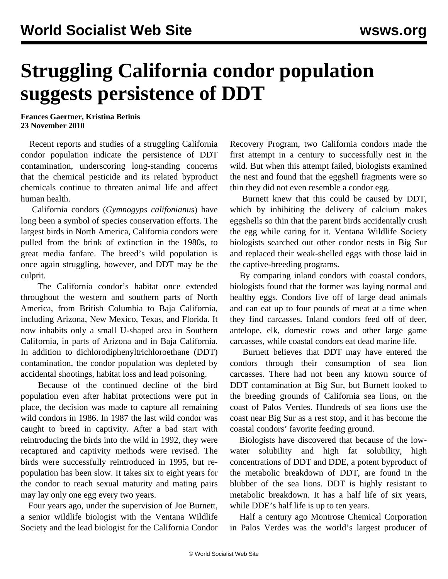## **Struggling California condor population suggests persistence of DDT**

**Frances Gaertner, Kristina Betinis 23 November 2010**

 Recent reports and studies of a struggling California condor population indicate the persistence of DDT contamination, underscoring long-standing concerns that the chemical pesticide and its related byproduct chemicals continue to threaten animal life and affect human health.

 California condors (*Gymnogyps califonianus*) have long been a symbol of species conservation efforts. The largest birds in North America, California condors were pulled from the brink of extinction in the 1980s, to great media fanfare. The breed's wild population is once again struggling, however, and DDT may be the culprit.

 The California condor's habitat once extended throughout the western and southern parts of North America, from British Columbia to Baja California, including Arizona, New Mexico, Texas, and Florida. It now inhabits only a small U-shaped area in Southern California, in parts of Arizona and in Baja California. In addition to dichlorodiphenyltrichloroethane (DDT) contamination, the condor population was depleted by accidental shootings, habitat loss and lead poisoning.

 Because of the continued decline of the bird population even after habitat protections were put in place, the decision was made to capture all remaining wild condors in 1986. In 1987 the last wild condor was caught to breed in captivity. After a bad start with reintroducing the birds into the wild in 1992, they were recaptured and captivity methods were revised. The birds were successfully reintroduced in 1995, but repopulation has been slow. It takes six to eight years for the condor to reach sexual maturity and mating pairs may lay only one egg every two years.

 Four years ago, under the supervision of Joe Burnett, a senior wildlife biologist with the Ventana Wildlife Society and the lead biologist for the California Condor Recovery Program, two California condors made the first attempt in a century to successfully nest in the wild. But when this attempt failed, biologists examined the nest and found that the eggshell fragments were so thin they did not even resemble a condor egg.

 Burnett knew that this could be caused by DDT, which by inhibiting the delivery of calcium makes eggshells so thin that the parent birds accidentally crush the egg while caring for it. Ventana Wildlife Society biologists searched out other condor nests in Big Sur and replaced their weak-shelled eggs with those laid in the captive-breeding programs.

 By comparing inland condors with coastal condors, biologists found that the former was laying normal and healthy eggs. Condors live off of large dead animals and can eat up to four pounds of meat at a time when they find carcasses. Inland condors feed off of deer, antelope, elk, domestic cows and other large game carcasses, while coastal condors eat dead marine life.

 Burnett believes that DDT may have entered the condors through their consumption of sea lion carcasses. There had not been any known source of DDT contamination at Big Sur, but Burnett looked to the breeding grounds of California sea lions, on the coast of Palos Verdes. Hundreds of sea lions use the coast near Big Sur as a rest stop, and it has become the coastal condors' favorite feeding ground.

 Biologists have discovered that because of the lowwater solubility and high fat solubility, high concentrations of DDT and DDE, a potent byproduct of the metabolic breakdown of DDT, are found in the blubber of the sea lions. DDT is highly resistant to metabolic breakdown. It has a half life of six years, while DDE's half life is up to ten years.

 Half a century ago Montrose Chemical Corporation in Palos Verdes was the world's largest producer of